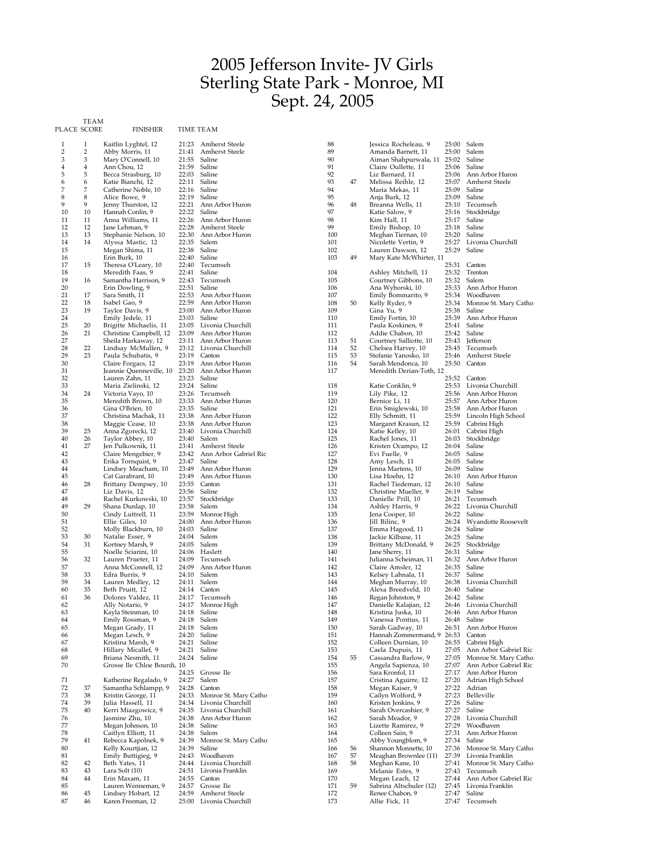## Jefferson Invite- JV Girls Sterling State Park - Monroe, MI Sept. 24, 2005

PLACE SCORE TEAM

FINISHER TIME TEAM

| 1              | 1              | Kaitlin Lyghtel, 12         | 21:23 | <b>Amherst Steele</b>   | 88  |    | Jessica Rocheleau, 9        | 25:00 | Salem                    |
|----------------|----------------|-----------------------------|-------|-------------------------|-----|----|-----------------------------|-------|--------------------------|
| $\overline{2}$ | $\overline{2}$ | Abby Morris, 11             | 21:41 | <b>Amherst Steele</b>   | 89  |    | Amanda Barnett, 11          | 25:00 | Salem                    |
| 3              | 3              | Mary O'Connell, 10          | 21:55 | Saline                  | 90  |    | Aiman Shahpurwala, 11 25:02 |       | Saline                   |
| 4              | $\overline{4}$ | Ann Chou, 12                | 21:59 | Saline                  | 91  |    | Claire Oullette, 11         | 25:06 | Saline                   |
| 5              | 5              | Becca Strasburg, 10         | 22:03 | Saline                  | 92  |    | Liz Barnard, 11             | 25:06 | Ann Arbor Huron          |
| 6              | 6              | Katie Bianchi, 12           | 22:11 | Saline                  | 93  | 47 | Melissa Reihle, 12          | 25:07 | Amherst Steele           |
|                |                |                             |       |                         | 94  |    |                             |       |                          |
| 7              | 7              | Catherine Noble, 10         | 22:16 | Saline                  |     |    | Maria Mekas, 11             | 25:09 | Saline                   |
| 8              | 8              | Alice Bowe, 9               | 22:19 | Saline                  | 95  |    | Anja Burk, 12               | 25:09 | Saline                   |
| 9              | 9              | Jenny Thurston, 12          | 22:21 | Ann Arbor Huron         | 96  | 48 | Breanna Wells, 11           | 25:10 | Tecumseh                 |
| 10             | 10             | Hannah Conlin, 9            | 22:22 | Saline                  | 97  |    | Katie Salow, 9              | 25:16 | Stockbridge              |
| 11             | 11             | Anna Williams, 11           | 22:26 | Ann Arbor Huron         | 98  |    | Kim Hall, 11                | 25:17 | Saline                   |
| 12             | 12             | Jane Lehman, 9              | 22:28 | Amherst Steele          | 99  |    | Emily Bishop, 10            | 25:18 | Saline                   |
|                |                |                             | 22:30 |                         |     |    |                             |       |                          |
| 13             | 13             | Stephanie Nelson, 10        |       | Ann Arbor Huron         | 100 |    | Meghan Tiernan, 10          | 25:20 | Saline                   |
| 14             | 14             | Alyssa Mastic, 12           | 22:35 | Salem                   | 101 |    | Nicolette Vertin, 9         | 25:27 | Livonia Churchill        |
| 15             |                | Megan Shima, 11             | 22:38 | Saline                  | 102 |    | Lauren Dawson, 12           | 25:29 | Saline                   |
| 16             |                | Erin Burk, 10               | 22:40 | Saline                  | 103 | 49 | Mary Kate McWhirter, 11     |       |                          |
| 17             | 15             | Theresa O'Leary, 10         | 22:40 | Tecumseh                |     |    |                             | 25:31 | Canton                   |
| 18             |                | Meredith Faas, 9            | 22:41 | Saline                  | 104 |    | Ashley Mitchell, 11         | 25:32 | Trenton                  |
| 19             | 16             | Samantha Harrison, 9        | 22:43 | Tecumseh                | 105 |    | Courtney Gibbons, 10        | 25:32 | Salem                    |
| 20             |                |                             | 22:51 |                         |     |    |                             | 25:33 | Ann Arbor Huron          |
|                |                | Erin Dowling, 9             |       | Saline                  | 106 |    | Ana Wyborski, 10            |       |                          |
| 21             | 17             | Sara Smith, 11              | 22:53 | Ann Arbor Huron         | 107 |    | Emily Bommarito, 9          | 25:34 | Woodhaven                |
| 22             | 18             | Isabel Gao, 9               | 22:59 | Ann Arbor Huron         | 108 | 50 | Kelly Ryder, 9              | 25:34 | Monroe St. Mary Catho    |
| 23             | 19             | Taylor Davis, 9             | 23:00 | Ann Arbor Huron         | 109 |    | Gina Yu, 9                  | 25:38 | Saline                   |
| 24             |                | Emily Jedele, 11            | 23:03 | Saline                  | 110 |    | Emily Fortin, 10            | 25:39 | Ann Arbor Huron          |
| 25             | 20             | Brigitte Michaelis, 11      | 23:05 | Livonia Churchill       | 111 |    | Paula Koskinen, 9           | 25:41 | Saline                   |
| 26             | 21             | Christine Campbell, 12      | 23:09 | Ann Arbor Huron         | 112 |    | Addie Chabon, 10            | 25:42 | Saline                   |
| 27             |                |                             | 23:11 | Ann Arbor Huron         | 113 | 51 | Courtney Salliotte, 10      | 25:43 | <b>Jefferson</b>         |
|                |                | Sheila Harkaway, 12         |       |                         |     |    |                             |       |                          |
| 28             | 22             | Lindsay McMullen, 9         | 23:12 | Livonia Churchill       | 114 | 52 | Chelsea Harvey, 10          | 25:45 | Tecumseh                 |
| 29             | 23             | Paula Schubatis, 9          | 23:19 | Canton                  | 115 | 53 | Stefanie Yanosko, 10        | 25:46 | Amherst Steele           |
| 30             |                | Claire Forgacs, 12          | 23:19 | Ann Arbor Huron         | 116 | 54 | Sarah Mendonca, 10          | 25:50 | Canton                   |
| 31             |                | Jeannie Quenneville, 10     | 23:20 | Ann Arbor Huron         | 117 |    | Meredith Derian-Toth, 12    |       |                          |
| 32             |                | Lauren Zahn, 11             | 23:23 | Saline                  |     |    |                             | 25:52 | Canton                   |
| 33             |                | Maria Zielinski, 12         |       | 23:24 Saline            | 118 |    | Katie Conklin, 9            | 25:53 | Livonia Churchill        |
|                |                |                             |       |                         |     |    |                             |       |                          |
| 34             | 24             | Victoria Vayo, 10           | 23:26 | Tecumseh                | 119 |    | Lily Pike, 12               | 25:56 | Ann Arbor Huron          |
| 35             |                | Meredith Brown, 10          | 23:33 | Ann Arbor Huron         | 120 |    | Bernice Li, 11              | 25:57 | Ann Arbor Huron          |
| 36             |                | Gina O'Brien, 10            | 23:35 | Saline                  | 121 |    | Erin Smiglewski, 10         | 25:58 | Ann Arbor Huron          |
| 37             |                | Christina Machak, 11        | 23:38 | Ann Arbor Huron         | 122 |    | Elly Schmitt, 11            | 25:59 | Lincoln High School      |
| 38             |                | Maggie Cease, 10            | 23:38 | Ann Arbor Huron         | 123 |    | Margaret Krasun, 12         | 25:59 | Cabrini High             |
| 39             | 25             | Anna Zgorecki, 12           |       | 23:40 Livonia Churchill | 124 |    | Katie Kelley, 10            | 26:01 | Cabrini High             |
|                |                |                             |       |                         |     |    |                             |       |                          |
| 40             | 26             | Taylor Abbey, 10            | 23:40 | Salem                   | 125 |    | Rachel Jones, 11            | 26:03 | Stockbridge              |
| 41             | 27             | Jen Pulkownik, 11           | 23:41 | Amherst Steele          | 126 |    | Kristen Ocampo, 12          | 26:04 | Saline                   |
| 42             |                | Claire Mengebier, 9         | 23:42 | Ann Arbor Gabriel Ric   | 127 |    | Evi Fuelle, 9               | 26:05 | Saline                   |
| 43             |                | Erika Tornquist, 9          | 23:47 | Saline                  | 128 |    | Amy Lesch, 11               | 26:05 | Saline                   |
| 44             |                | Lindsey Meacham, 10         | 23:49 | Ann Arbor Huron         | 129 |    | Jenna Martens, 10           | 26:09 | Saline                   |
| 45             |                | Cat Garabrant, 10           | 23:49 | Ann Arbor Huron         | 130 |    | Lisa Hoehn, 12              | 26:10 | Ann Arbor Huron          |
| 46             | 28             | Brittany Dempsey, 10        | 23:55 | Canton                  | 131 |    | Rachel Tiedeman, 12         | 26:10 | Saline                   |
| 47             |                | Liz Davis, 12               | 23:56 | Saline                  | 132 |    | Christine Mueller, 9        | 26:19 | Saline                   |
|                |                |                             |       |                         |     |    |                             |       |                          |
| 48             |                | Rachel Kurkowski, 10        | 23:57 | Stockbridge             | 133 |    | Danielle Prill, 10          | 26:21 | Tecumseh                 |
|                |                |                             |       |                         |     |    | Ashley Harris, 9            |       | Livonia Churchill        |
| 49             | 29             | Shana Dunlap, 10            | 23:58 | Salem                   | 134 |    |                             | 26:22 |                          |
| 50             |                | Cindy Luttrell, 11          | 23:59 | Monroe High             | 135 |    | Jena Cooper, 10             | 26:22 | Saline                   |
|                |                |                             |       |                         |     |    |                             |       |                          |
| 51             |                | Ellie Giles, 10             | 24:00 | Ann Arbor Huron         | 136 |    | Jill Bilinc, 9              | 26:24 | Wyandotte Roosevelt      |
| 52             |                | Molly Blackburn, 10         | 24:03 | Saline                  | 137 |    | Emma Hagood, 11             | 26:24 | Saline                   |
| 53             | 30             | Natalie Esser, 9            | 24:04 | Salem                   | 138 |    | Jackie Kilbane, 11          | 26:25 | Saline                   |
| 54             | 31             | Kortney Marsh, 9            | 24:05 | Salem                   | 139 |    | Brittany McDonald, 9        | 26:25 | Stockbridge              |
| 55             |                | Noelle Sciarini, 10         | 24:06 | Haslett                 | 140 |    | Jane Sherry, 11             | 26:31 | Saline                   |
| 56             | 32             | Lauren Prueter, 11          | 24:09 | Tecumseh                | 141 |    | Julianna Scheiman, 11       | 26:32 | Ann Arbor Huron          |
| 57             |                | Anna McConnell, 12          | 24:09 | Ann Arbor Huron         | 142 |    | Claire Amsler, 12           | 26:35 | Saline                   |
|                |                |                             |       |                         |     |    |                             |       |                          |
| 58             | 33             | Edra Burris, 9              | 24:10 | Salem                   | 143 |    | Kelsey Lahnala, 11          | 26:37 | Saline                   |
| 59             | 34             | Lauren Medley, 12           | 24:11 | Salem                   | 144 |    | Meghan Murray, 10           | 26:38 | Livonia Churchill        |
| 60             | 35             | Beth Pruitt, 12             | 24:14 | Canton                  | 145 |    | Alexa Breedveld, 10         | 26:40 | Saline                   |
| 61             | 36             | Dolores Valdez, 11          | 24:17 | Tecumseh                | 146 |    | Regan Johnston, 9           | 26:42 | Saline                   |
| 62             |                | Ally Notario, 9             |       | 24:17 Monroe High       | 147 |    | Danielle Kalajian, 12       | 26:46 | Livonia Churchill        |
| 63             |                | Kayla Steinman, 10          |       | 24:18 Saline            | 148 |    | Kristina Juska, 10          |       | 26:46 Ann Arbor Huron    |
| 64             |                | Emily Rossman, 9            |       | 24:18 Salem             | 149 |    | Vanessa Pontius, 11         |       | 26:48 Saline             |
| 65             |                | Megan Grady, 11             | 24:18 | Salem                   | 150 |    | Sarah Gadway, 10            | 26:51 | Ann Arbor Huron          |
| 66             |                | Megan Lesch, 9              | 24:20 | Saline                  | 151 |    | Hannah Zommermand, 9        | 26:53 | Canton                   |
|                |                |                             |       |                         |     |    |                             |       |                          |
| 67             |                | Kristina Marsh, 9           | 24:21 | Saline                  | 152 |    | Colleen Durnian, 10         | 26:55 | Cabrini High             |
| 68             |                | Hillary Micallef, 9         | 24:21 | Saline                  | 153 |    | Caela Dupuis, 11            | 27:05 | Ann Arbor Gabriel Ric    |
| 69             |                | Briana Nesmith, 11          |       | 24:24 Saline            | 154 | 55 | Cassandra Barlow, 9         | 27:05 | Monroe St. Mary Catho    |
| 70             |                | Grosse Ile Chloe Bourdi, 10 |       |                         | 155 |    | Angela Sapienza, 10         | 27:07 | Ann Arbor Gabriel Ric    |
|                |                |                             | 24:25 | Grosse Ile              | 156 |    | Sara Kronfol, 11            | 27:17 | Ann Arbor Huron          |
| 71             |                | Katherine Regalado, 9       | 24:27 | Salem                   | 157 |    | Cristina Aguirre, 12        | 27:20 | Adrian High School       |
| 72             | 37             | Samantha Schlampp, 9        | 24:28 | Canton                  | 158 |    | Megan Kaiser, 9             | 27:22 | Adrian                   |
| 73             | 38             |                             | 24:33 |                         | 159 |    | Cailyn Wolford, 9           | 27:23 | Belleville               |
|                |                | Kristin George, 11          |       | Monroe St. Mary Catho   |     |    |                             |       |                          |
| 74             | 39             | Julia Hassell, 11           | 24:34 | Livonia Churchill       | 160 |    | Kristen Jenkins, 9          | 27:26 | Saline                   |
| 75             | 40             | Kerri Miazgowicz, 9         | 24:35 | Livonia Churchill       | 161 |    | Sarah Overcashier, 9        | 27:27 | Saline                   |
| 76             |                | Jasmine Zhu, 10             | 24:38 | Ann Arbor Huron         | 162 |    | Sarah Meador, 9             | 27:28 | Livonia Churchill        |
| 77             |                | Megan Johnson, 10           | 24:38 | Saline                  | 163 |    | Lizette Ramirez, 9          | 27:29 | Woodhaven                |
| 78             |                | Caitlyn Elliott, 11         | 24:38 | Salem                   | 164 |    | Colleen Sain, 9             | 27:31 | Ann Arbor Huron          |
| 79             | 41             | Rebecca Kapolnek, 9         | 24:39 | Monroe St. Mary Catho   | 165 |    | Abby Youngblom, 9           | 27:34 | Saline                   |
|                |                |                             |       | Saline                  |     |    |                             |       |                          |
| 80             |                | Kelly Kourtjian, 12         | 24:39 |                         | 166 | 56 | Shannon Monnette, 10        | 27:36 | Monroe St. Mary Catho    |
| 81             |                | Emily Buttigieg, 9          | 24:43 | Woodhaven               | 167 | 57 | Meaghan Brownlee (11)       | 27:39 | Livonia Franklin         |
| 82             | 42             | Beth Yates, 11              | 24:44 | Livonia Churchill       | 168 | 58 | Meghan Kane, 10             | 27:41 | Monroe St. Mary Catho    |
| 83             | 43             | Lara Solt (10)              | 24:51 | Livonia Franklin        | 169 |    | Melanie Estes, 9            | 27:43 | Tecumseh                 |
| 84             | 44             | Erin Maxam, 11              | 24:55 | Canton                  | 170 |    | Megan Leach, 12             | 27:44 | Ann Arbor Gabriel Ric    |
| 85             |                | Lauren Wenneman, 9          | 24:57 | Grosse Ile              | 171 | 59 | Sabrina Altschuler (12)     | 27:45 | Livonia Franklin         |
| 86             | 45             | Lindsey Hobart, 12          | 24:59 | Amherst Steele          | 172 |    | Renee Chabon, 9             | 27:47 | Saline<br>27:47 Tecumseh |